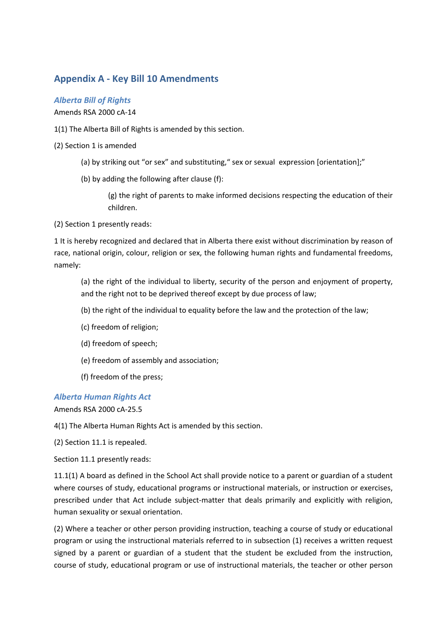## **Appendix A - Key Bill 10 Amendments**

*Alberta Bill of Rights*

Amends RSA 2000 cA-14

1(1) The Alberta Bill of Rights is amended by this section.

(2) Section 1 is amended

- (a) by striking out "or sex" and substituting," sex or sexual expression [orientation];"
- (b) by adding the following after clause (f):

(g) the right of parents to make informed decisions respecting the education of their children.

(2) Section 1 presently reads:

1 It is hereby recognized and declared that in Alberta there exist without discrimination by reason of race, national origin, colour, religion or sex, the following human rights and fundamental freedoms, namely:

(a) the right of the individual to liberty, security of the person and enjoyment of property, and the right not to be deprived thereof except by due process of law;

- (b) the right of the individual to equality before the law and the protection of the law;
- (c) freedom of religion;
- (d) freedom of speech;
- (e) freedom of assembly and association;
- (f) freedom of the press;

## *Alberta Human Rights Act*

Amends RSA 2000 cA-25.5

4(1) The Alberta Human Rights Act is amended by this section.

(2) Section 11.1 is repealed.

Section 11.1 presently reads:

11.1(1) A board as defined in the School Act shall provide notice to a parent or guardian of a student where courses of study, educational programs or instructional materials, or instruction or exercises, prescribed under that Act include subject-matter that deals primarily and explicitly with religion, human sexuality or sexual orientation.

(2) Where a teacher or other person providing instruction, teaching a course of study or educational program or using the instructional materials referred to in subsection (1) receives a written request signed by a parent or guardian of a student that the student be excluded from the instruction, course of study, educational program or use of instructional materials, the teacher or other person